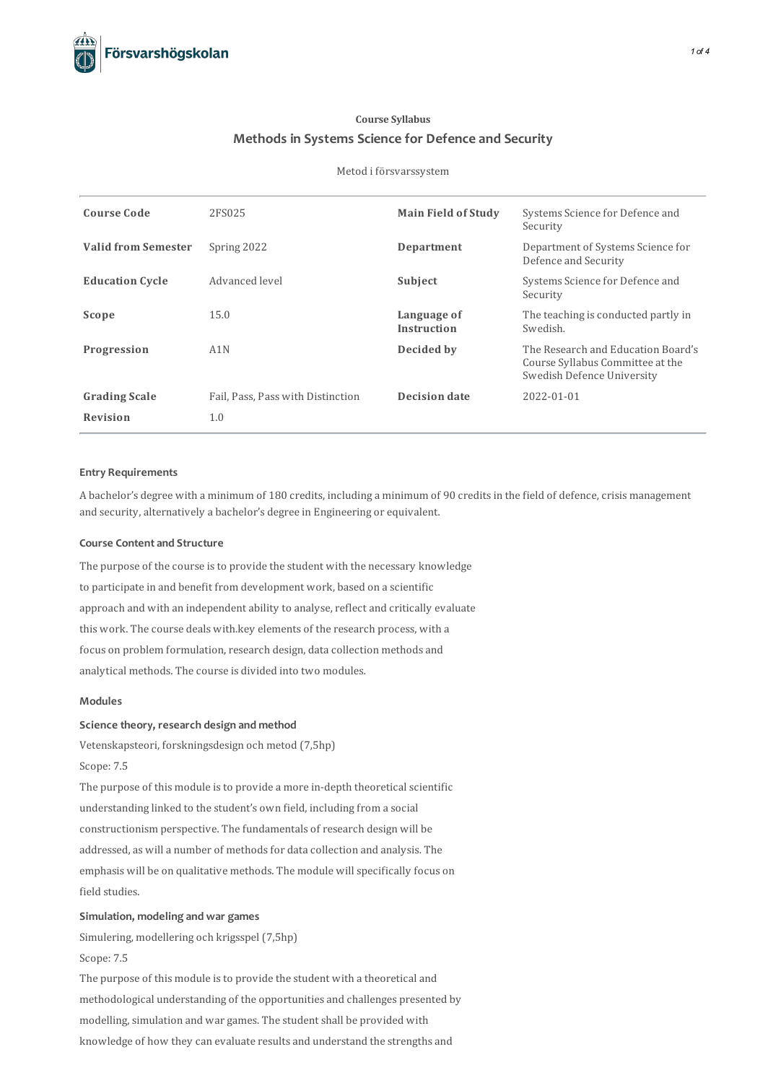# **Course Syllabus Methods in Systems Science for Defence and Security**

#### Metod i försvarssystem

| <b>Course Code</b>         | 2FS025                            | <b>Main Field of Study</b>        | Systems Science for Defence and<br>Security                                                          |
|----------------------------|-----------------------------------|-----------------------------------|------------------------------------------------------------------------------------------------------|
| <b>Valid from Semester</b> | Spring 2022                       | Department                        | Department of Systems Science for<br>Defence and Security                                            |
| <b>Education Cycle</b>     | Advanced level                    | Subject                           | Systems Science for Defence and<br>Security                                                          |
| Scope                      | 15.0                              | Language of<br><b>Instruction</b> | The teaching is conducted partly in<br>Swedish.                                                      |
| Progression                | A1N                               | Decided by                        | The Research and Education Board's<br>Course Syllabus Committee at the<br>Swedish Defence University |
| <b>Grading Scale</b>       | Fail, Pass, Pass with Distinction | <b>Decision date</b>              | 2022-01-01                                                                                           |
| <b>Revision</b>            | 1.0                               |                                   |                                                                                                      |

### **Entry Requirements**

A bachelor's degree with a minimum of 180 credits, including a minimum of 90 credits in the field of defence, crisis management and security, alternatively a bachelor's degree in Engineering or equivalent.

## **Course Contentand Structure**

The purpose of the course is to provide the student with the necessary knowledge to participate in and benefit from development work, based on a scientific approach and with an independent ability to analyse, reflect and critically evaluate this work. The course deals with.key elements of the research process, with a focus on problem formulation, research design, data collection methods and analytical methods. The course is divided into two modules.

## **Modules**

## **Science theory, research design andmethod**

Vetenskapsteori, forskningsdesign och metod (7,5hp)

Scope: 7.5

The purpose of this module is to provide a more in-depth theoretical scientific understanding linked to the student's own field, including from a social constructionism perspective. The fundamentals of research design will be addressed, as will a number of methods for data collection and analysis. The emphasis will be on qualitative methods. The module will specifically focus on field studies.

## **Simulation, modeling and war games**

Simulering, modellering och krigsspel (7,5hp) Scope: 7.5

The purpose of this module is to provide the student with a theoretical and methodological understanding of the opportunities and challenges presented by modelling, simulation and war games. The student shall be provided with knowledge of how they can evaluate results and understand the strengths and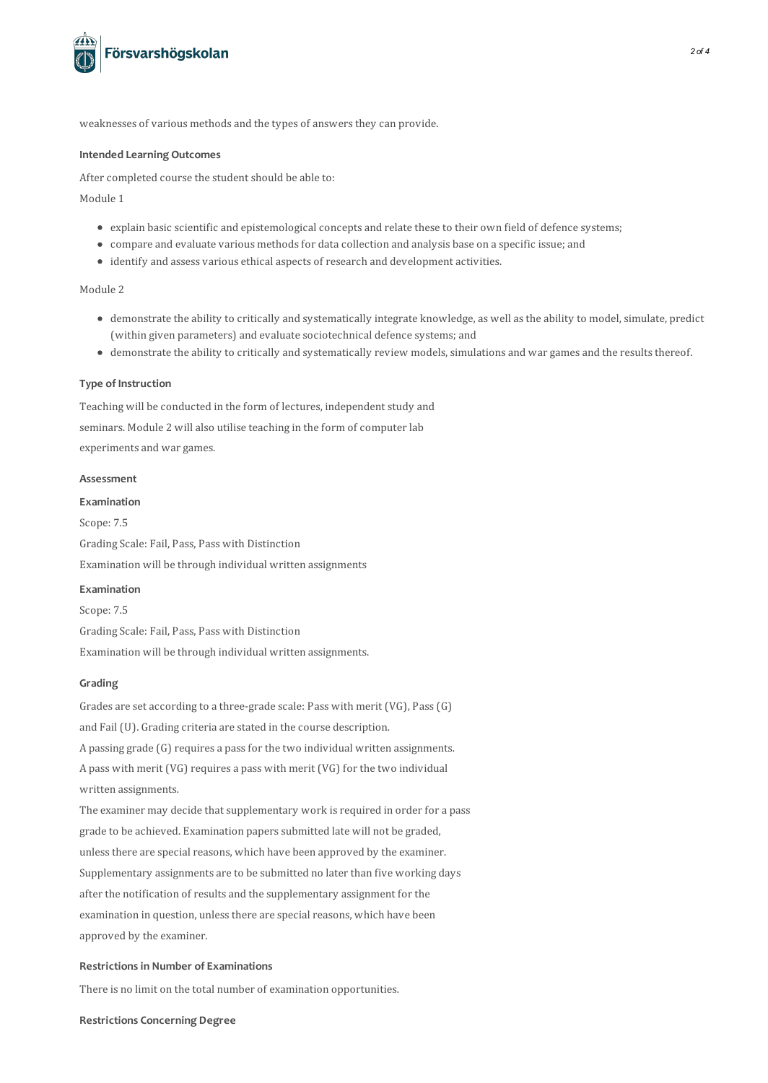

weaknesses of various methods and the types of answers they can provide.

#### **Intended Learning Outcomes**

After completed course the student should be able to:

Module 1

- explain basic scientific and epistemological concepts and relate these to their own field of defence systems;
- compare and evaluate various methodsfor data collection and analysis base on a specific issue; and
- identify and assess various ethical aspects of research and development activities.

## Module 2

- demonstrate the ability to critically and systematically integrate knowledge, as well asthe ability to model,simulate, predict (within given parameters) and evaluate sociotechnical defence systems; and
- demonstrate the ability to critically and systematically review models, simulations and war games and the results thereof.

#### **Type of Instruction**

Teaching will be conducted in the form of lectures, independent study and seminars. Module 2 will also utilise teaching in the form of computer lab experiments and war games.

#### **Assessment**

## **Examination**

Scope: 7.5 Grading Scale: Fail, Pass, Pass with Distinction Examination will be through individual written assignments

## **Examination**

Scope: 7.5 Grading Scale: Fail, Pass, Pass with Distinction Examination will be through individual written assignments.

## **Grading**

Grades are set according to a three-grade scale: Pass with merit (VG), Pass(G) and Fail (U). Grading criteria are stated in the course description. A passing grade (G) requires a passfor the two individual written assignments. A pass with merit (VG) requires a pass with merit (VG) for the two individual written assignments.

The examiner may decide that supplementary work is required in order for a pass grade to be achieved. Examination papers submitted late will not be graded, unlessthere are special reasons, which have been approved by the examiner. Supplementary assignments are to be submitted no later than five working days after the notification of results and the supplementary assignment for the examination in question, unless there are special reasons, which have been approved by the examiner.

## **Restrictionsin Number of Examinations**

There is no limit on the total number of examination opportunities.

#### **Restrictions Concerning Degree**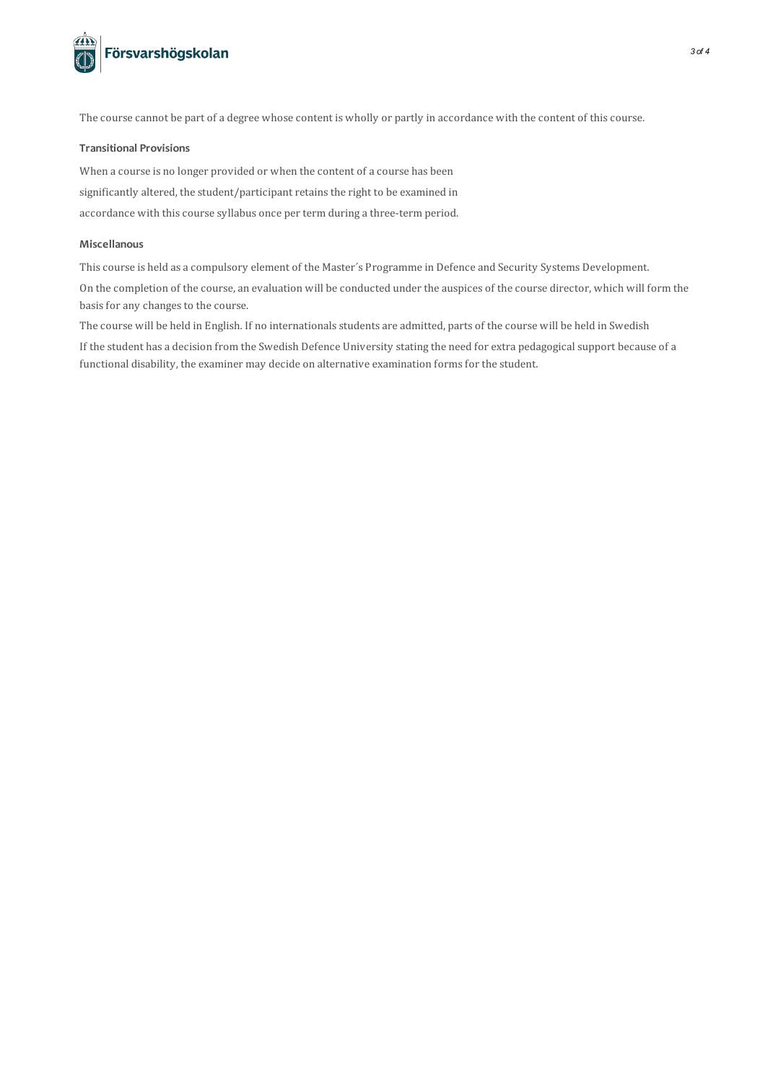

The course cannot be part of a degree whose content is wholly or partly in accordance with the content of thiscourse.

## **Transitional Provisions**

When a course is no longer provided or when the content of a course has been significantly altered, the student/participant retains the right to be examined in accordance with this course syllabus once per term during a three-term period.

## **Miscellanous**

Thiscourse is held as a compulsory element of the Master´s Programme in Defence and Security Systems Development.

On the completion of the course, an evaluation will be conducted under the auspices of the course director, which will form the basis for any changes to the course.

The course will be held in English. If no internationals students are admitted, parts of the course will be held in Swedish

If the student has a decision from the Swedish Defence University stating the need for extra pedagogicalsupport because of a functional disability, the examiner may decide on alternative examination forms for the student.